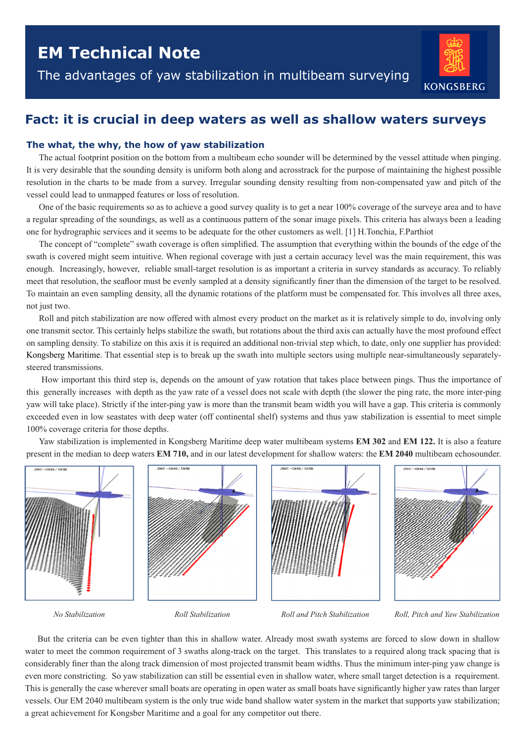The advantages of yaw stabilization in multibeam surveying



# **Fact: it is crucial in deep waters as well as shallow waters surveys**

## **The what, the why, the how of yaw stabilization**

The actual footprint position on the bottom from a multibeam echo sounder will be determined by the vessel attitude when pinging. It is very desirable that the sounding density is uniform both along and acrosstrack for the purpose of maintaining the highest possible resolution in the charts to be made from a survey. Irregular sounding density resulting from non-compensated yaw and pitch of the vessel could lead to unmapped features or loss of resolution.

One of the basic requirements so as to achieve a good survey quality is to get a near 100% coverage of the surveye area and to have a regular spreading of the soundings, as well as a continuous pattern of the sonar image pixels. This criteria has always been a leading one for hydrographic services and it seems to be adequate for the other customers as well. [1] H.Tonchia, F.Parthiot

The concept of "complete" swath coverage is often simplified. The assumption that everything within the bounds of the edge of the swath is covered might seem intuitive. When regional coverage with just a certain accuracy level was the main requirement, this was enough. Increasingly, however, reliable small-target resolution is as important a criteria in survey standards as accuracy. To reliably meet that resolution, the seafloor must be evenly sampled at a density significantly finer than the dimension of the target to be resolved. To maintain an even sampling density, all the dynamic rotations of the platform must be compensated for. This involves all three axes, not just two.

Roll and pitch stabilization are now offered with almost every product on the market as it is relatively simple to do, involving only one transmit sector. This certainly helps stabilize the swath, but rotations about the third axis can actually have the most profound effect on sampling density. To stabilize on this axis it is required an additional non-trivial step which, to date, only one supplier has provided: Kongsberg Maritime. That essential step is to break up the swath into multiple sectors using multiple near-simultaneously separatelysteered transmissions.

 How important this third step is, depends on the amount of yaw rotation that takes place between pings. Thus the importance of this generally increases with depth as the yaw rate of a vessel does not scale with depth (the slower the ping rate, the more inter-ping yaw will take place). Strictly if the inter-ping yaw is more than the transmit beam width you will have a gap. This criteria is commonly exceeded even in low seastates with deep water (off continental shelf) systems and thus yaw stabilization is essential to meet simple 100% coverage criteria for those depths.

Yaw stabilization is implemented in Kongsberg Maritime deep water multibeam systems **EM 302** and **EM 122.** It is also a feature present in the median to deep waters **EM 710,** and in our latest development for shallow waters: the **EM 2040** multibeam echosounder.



*No Stabilization Roll Stabilization Roll and Pitch Stabilization Roll, Pitch and Yaw Stabilization*

But the criteria can be even tighter than this in shallow water. Already most swath systems are forced to slow down in shallow water to meet the common requirement of 3 swaths along-track on the target. This translates to a required along track spacing that is considerably finer than the along track dimension of most projected transmit beam widths. Thus the minimum inter-ping yaw change is even more constricting. So yaw stabilization can still be essential even in shallow water, where small target detection is a requirement. This is generally the case wherever small boats are operating in open water as small boats have significantly higher yaw rates than larger vessels. Our EM 2040 multibeam system is the only true wide band shallow water system in the market that supports yaw stabilization; a great achievement for Kongsber Maritime and a goal for any competitor out there.